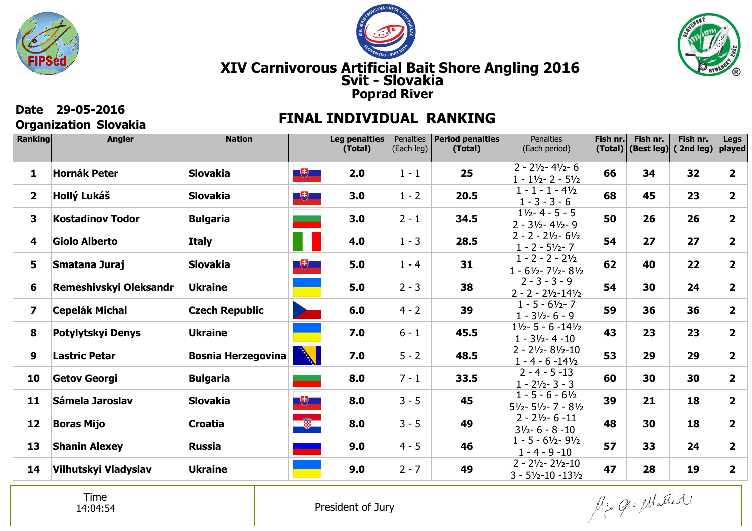





## **Organization Slovakia**

## **Date 29-05-2016 FINAL INDIVIDUAL RANKING**

| Ranking                 | <b>Angler</b>           | <b>Nation</b>             |                                                                   | Leg penalties<br>(Total) | Penalties<br>(Each leg) | <b>Period penalties</b><br>(Total) | <b>Penalties</b><br>(Each period)                                              | Fish nr.<br>(Total) | Fish nr.<br>(Best leg) | Fish nr.<br>(2nd leg) | <b>Legs</b><br>played   |
|-------------------------|-------------------------|---------------------------|-------------------------------------------------------------------|--------------------------|-------------------------|------------------------------------|--------------------------------------------------------------------------------|---------------------|------------------------|-----------------------|-------------------------|
| $\mathbf{1}$            | <b>Hornák Peter</b>     | <b>Slovakia</b>           | $\Box$                                                            | 2.0                      | $1 - 1$                 | 25                                 | $2 - 2\frac{1}{2} - 4\frac{1}{2} - 6$<br>$1 - 1\frac{1}{2} - 2 - 5\frac{1}{2}$ | 66                  | 34                     | 32                    | $\overline{\mathbf{2}}$ |
| $\mathbf{2}$            | Hollý Lukáš             | <b>Slovakia</b>           | $\begin{array}{ c c } \hline \textbf{t} & \textbf{t} \end{array}$ | 3.0                      | $1 - 2$                 | 20.5                               | $1 - 1 - 1 - 4\frac{1}{2}$<br>$1 - 3 - 3 - 6$                                  | 68                  | 45                     | 23                    | $\overline{2}$          |
| 3                       | <b>Kostadinov Todor</b> | <b>Bulgaria</b>           |                                                                   | 3.0                      | $2 - 1$                 | 34.5                               | $1\frac{1}{2} - 4 - 5 - 5$<br>$2 - 31/2 - 41/2 - 9$                            | 50                  | 26                     | 26                    | $\overline{\mathbf{2}}$ |
| 4                       | <b>Giolo Alberto</b>    | <b>Italy</b>              |                                                                   | 4.0                      | $1 - 3$                 | 28.5                               | $2 - 2 - 2\frac{1}{2} - 6\frac{1}{2}$<br>$1 - 2 - 5\frac{1}{2} - 7$            | 54                  | 27                     | 27                    | $\mathbf{2}$            |
| 5                       | Smatana Juraj           | <b>Slovakia</b>           | $\Box$                                                            | 5.0                      | $1 - 4$                 | 31                                 | $1 - 2 - 2 - 2\frac{1}{2}$<br>$1 - 6\frac{1}{2} - 7\frac{1}{2} - 8\frac{1}{2}$ | 62                  | 40                     | 22                    | $\overline{2}$          |
| 6                       | Remeshivskyi Oleksandr  | <b>Ukraine</b>            |                                                                   | 5.0                      | $2 - 3$                 | 38                                 | $2 - 3 - 3 - 9$<br>$2 - 2 - 2\frac{1}{2} - 14\frac{1}{2}$                      | 54                  | 30                     | 24                    | 2 <sup>1</sup>          |
| $\overline{\mathbf{z}}$ | <b>Cepelák Michal</b>   | <b>Czech Republic</b>     | <b>State</b>                                                      | 6.0                      | $4 - 2$                 | 39                                 | $1 - 5 - 6\frac{1}{2} - 7$<br>$1 - 3\frac{1}{2} - 6 - 9$                       | 59                  | 36                     | 36                    | 2 <sup>1</sup>          |
| 8                       | Potylytskyi Denys       | <b>Ukraine</b>            |                                                                   | 7.0                      | $6 - 1$                 | 45.5                               | $1\frac{1}{2}$ - 5 - 6 - 14 $\frac{1}{2}$<br>$1 - 3\frac{1}{2} - 4 - 10$       | 43                  | 23                     | 23                    | $\overline{2}$          |
| 9                       | <b>Lastric Petar</b>    | <b>Bosnia Herzegovina</b> | <b>CALL OF BRANCH</b>                                             | 7.0                      | $5 - 2$                 | 48.5                               | $2 - 2\frac{1}{2} - 8\frac{1}{2} - 10$<br>$1 - 4 - 6 - 14\frac{1}{2}$          | 53                  | 29                     | 29                    | $\overline{2}$          |
| 10                      | <b>Getov Georgi</b>     | <b>Bulgaria</b>           |                                                                   | 8.0                      | $7 - 1$                 | 33.5                               | $2 - 4 - 5 - 13$<br>$1 - 21/2 - 3 - 3$                                         | 60                  | 30                     | 30                    | $\mathbf{2}$            |
| 11                      | Sámela Jaroslav         | <b>Slovakia</b>           | $\Box$                                                            | 8.0                      | $3 - 5$                 | 45                                 | $1 - 5 - 6 - 6\frac{1}{2}$<br>$5\frac{1}{2} - 5\frac{1}{2} - 7 - 8\frac{1}{2}$ | 39                  | 21                     | 18                    | $\overline{2}$          |
| 12                      | <b>Boras Mijo</b>       | <b>Croatia</b>            | $\Rightarrow$                                                     | 8.0                      | $3 - 5$                 | 49                                 | $2 - 2\frac{1}{2} - 6 - 11$<br>$3\frac{1}{2} - 6 - 8 - 10$                     | 48                  | 30                     | 18                    | 2 <sup>1</sup>          |
| 13                      | <b>Shanin Alexey</b>    | <b>Russia</b>             |                                                                   | 9.0                      | $4 - 5$                 | 46                                 | $1 - 5 - 6\frac{1}{2} - 9\frac{1}{2}$<br>$1 - 4 - 9 - 10$                      | 57                  | 33                     | 24                    | $\overline{2}$          |
| 14                      | Vilhutskyi Vladyslav    | <b>Ukraine</b>            |                                                                   | 9.0                      | $2 - 7$                 | 49                                 | $2 - 21/2 - 21/2 - 10$<br>$3 - 5\frac{1}{2} - 10 - 13\frac{1}{2}$              | 47                  | 28                     | 19                    | 2 <sup>1</sup>          |

Time14:04:54

Mgo Gio Matter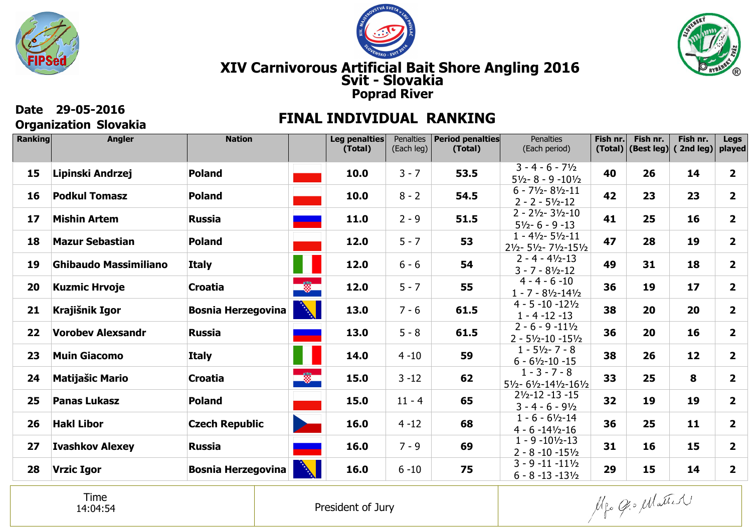





**Fish nr.**

**14**

**23**

**16**

**19**

**18**

**17**

**20**

**16**

**12**

**8**

**19**

**11**

**15**

**14**

**Legsplayed**

**2**

**2**

**2**

**2**

**2**

**2**

**2**

**2**

**2**

**2**

**2**

**2**

**2**

**2**

**Fish nr.**

**26**

**23**

**25**

**28**

**31**

**19**

**20**

**20**

**26**

**25**

**19**

**25**

**16**

**15**

#### **Svit - Slovakia XIV Carnivorous Artificial Bait Shore Angling 2016 Poprad River**

#### **Organization Slovakia Ranking Leg penalties** Penalties**Period penaltiesPenalties Fish nr. Angler Nation(Total)(Total)** (Each leg) (Each period) **(Total) (Best leg) ( 2nd leg)** $3 - 4 - 6 - 7\frac{1}{2}$ **Lipinski Andrzej53.5Poland10.0** $3 - 7$ **4015** 5½- 8 - 9 -10½ 6 - 7½- 8½-11**Podkul TomaszPoland10.0**8 - 2**54.54216** 2 - 2 - 5½-12 2 - 2½- 3½-10**17Mishin ArtemRussia11.0**2 - 9**51.541** 5½- 6 - 9 -13 1 - 4½- 5½-11**Poland18Mazur Sebastian12.0**5 - 7**5347** 2½- 5½- 7½-15½ $2 - 4 - 4\frac{1}{2} - 13$ **19Ghibaudo MassimilianoItaly12.0**6 - 6**5449** 3 - 7 - 8½-12 4 - 4 - 6 -10**Kuzmic Hrvoje12.055Croatia**5 - 7**3620** 1 - 7 - 8½-14½ 4 - 5 -10 -12½**Krajišnik IgorBosnia Herzegovina13.0**7 - 6**61.53821** 1 - 4 -12 -13 2 - 6 - 9 -11½**Vorobev AlexsandrRussia61.52213.0**5 - 8**36** 2 - 5½-10 -15½ 1 - 5½- 7 - 8**Muin GiacomoItaly14.0** $4 - 10$ **382359** 6 - 6½-10 -15  $1 - 3 - 7 - 8$  $\bullet$ **Matijašic Mario24Croatia15.0**3 -12**6233** 5½- 6½-14½-16½2½-12 -13 -15**Panas LukaszPoland15.0** $11 - 4$ **322565** 3 - 4 - 6 - 9½ 1 - 6 - 6½-14**26Hakl LiborCzech Republic16.0**4 -12**6836** 4 - 6 -14½-16 1 - 9 -10½-13**Ivashkov Alexey3127Russia16.0**7 - 9**69** 2 - 8 -10 -15½ 3 - 9 -11 -11½**Vrzic IgorBosnia Herzegovina16.0**6 -10**292875**

#### **Date 29-05-2016 FINAL INDIVIDUAL RANKING**

Time14:04:54

President of Jury

Mgo Opo Matter

6 - 8 -13 -13½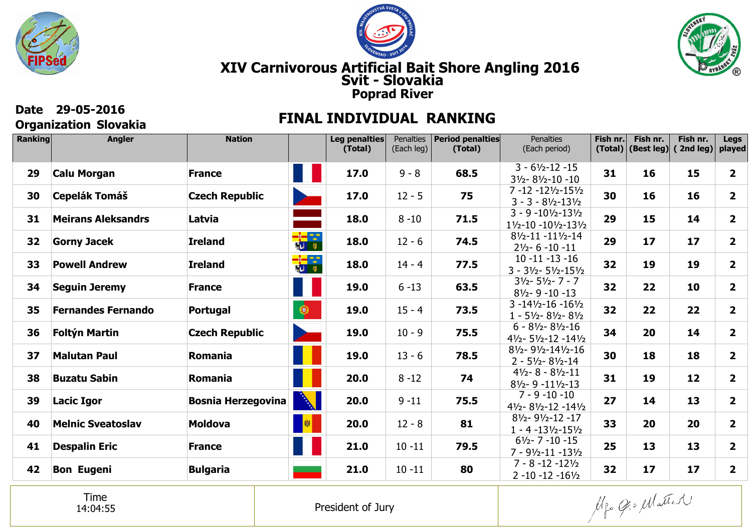





## **Organization Slovakia**

## **Date 29-05-2016 FINAL INDIVIDUAL RANKING**

| <b>Ranking</b> | <b>Angler</b>             | <b>Nation</b>             |                                              | Leg penalties<br>(Total) | Penalties<br>(Each leg) | <b>Period penalties</b><br>(Total) | <b>Penalties</b><br>(Each period)                                                              | Fish nr. | Fish nr.<br>$(Total)$ (Best leg) | Fish nr.<br>(2nd leg) | <b>Legs</b><br>played   |
|----------------|---------------------------|---------------------------|----------------------------------------------|--------------------------|-------------------------|------------------------------------|------------------------------------------------------------------------------------------------|----------|----------------------------------|-----------------------|-------------------------|
| 29             | <b>Calu Morgan</b>        | <b>France</b>             |                                              | 17.0                     | $9 - 8$                 | 68.5                               | $3 - 61/2 - 12 - 15$<br>$3\frac{1}{2} - 8\frac{1}{2} - 10 - 10$                                | 31       | 16                               | 15                    | $\overline{\mathbf{2}}$ |
| 30             | <b>Cepelák Tomáš</b>      | <b>Czech Republic</b>     | <b>State</b>                                 | 17.0                     | $12 - 5$                | 75                                 | $7 - 12 - 12\frac{1}{2} - 15\frac{1}{2}$<br>$3 - 3 - 81/2 - 131/2$                             | 30       | 16                               | 16                    | $\overline{2}$          |
| 31             | <b>Meirans Aleksandrs</b> | Latvia                    |                                              | 18.0                     | $8 - 10$                | 71.5                               | $3 - 9 - 10\frac{1}{2} - 13\frac{1}{2}$<br>$1\frac{1}{2} - 10 - 10\frac{1}{2} - 13\frac{1}{2}$ | 29       | 15                               | 14                    | $\overline{\mathbf{2}}$ |
| 32             | <b>Gorny Jacek</b>        | <b>Ireland</b>            | <mark>—∲—</mark> ‴—‴<br>∦ <mark>∢</mark> ∐ ≬ | 18.0                     | $12 - 6$                | 74.5                               | $8\frac{1}{2} - 11 - 11\frac{1}{2} - 14$<br>$2\frac{1}{2} - 6 - 10 - 11$                       | 29       | 17                               | 17                    | $\mathbf{2}$            |
| 33             | <b>Powell Andrew</b>      | <b>Ireland</b>            | <mark>—</mark> ⊶<br>▓U Q                     | 18.0                     | $14 - 4$                | 77.5                               | $10 - 11 - 13 - 16$<br>$3 - 3\frac{1}{2} - 5\frac{1}{2} - 15\frac{1}{2}$                       | 32       | 19                               | 19                    | $\overline{\mathbf{2}}$ |
| 34             | <b>Seguin Jeremy</b>      | <b>France</b>             |                                              | 19.0                     | $6 - 13$                | 63.5                               | $3\frac{1}{2} - 5\frac{1}{2} - 7 - 7$<br>$8\frac{1}{2}$ - 9 - 10 - 13                          | 32       | 22                               | 10                    | $\overline{\mathbf{2}}$ |
| 35             | <b>Fernandes Fernando</b> | Portugal                  |                                              | 19.0                     | $15 - 4$                | 73.5                               | $3 - 14\frac{1}{2} - 16 - 16\frac{1}{2}$<br>$1 - 5\frac{1}{2} - 8\frac{1}{2} - 8\frac{1}{2}$   | 32       | 22                               | 22                    | $\overline{\mathbf{2}}$ |
| 36             | <b>Foltýn Martin</b>      | <b>Czech Republic</b>     | <b>The Company</b>                           | 19.0                     | $10 - 9$                | 75.5                               | $6 - 8\frac{1}{2} - 8\frac{1}{2} - 16$<br>$4\frac{1}{2} - 5\frac{1}{2} - 12 - 14\frac{1}{2}$   | 34       | 20                               | 14                    | $\mathbf{2}$            |
| 37             | <b>Malutan Paul</b>       | Romania                   |                                              | 19.0                     | $13 - 6$                | 78.5                               | 81/2-91/2-141/2-16<br>$2 - 5\frac{1}{2} - 8\frac{1}{2} - 14$                                   | 30       | 18                               | 18                    | $\overline{\mathbf{2}}$ |
| 38             | <b>Buzatu Sabin</b>       | Romania                   |                                              | 20.0                     | $8 - 12$                | 74                                 | $4\frac{1}{2} - 8 - 8\frac{1}{2} - 11$<br>$8\frac{1}{2} - 9 - 11\frac{1}{2} - 13$              | 31       | 19                               | 12                    | $\overline{\mathbf{2}}$ |
| 39             | <b>Lacic Igor</b>         | <b>Bosnia Herzegovina</b> | <b>BARTING ROOM</b>                          | 20.0                     | $9 - 11$                | 75.5                               | $7 - 9 - 10 - 10$<br>$4\frac{1}{2} - 8\frac{1}{2} - 12 - 14\frac{1}{2}$                        | 27       | 14                               | 13                    | $\overline{2}$          |
| 40             | <b>Melnic Sveatoslav</b>  | <b>Moldova</b>            | 图                                            | 20.0                     | $12 - 8$                | 81                                 | $8\frac{1}{2} - 9\frac{1}{2} - 12 - 17$<br>$1 - 4 - 13\frac{1}{2} - 15\frac{1}{2}$             | 33       | 20                               | 20                    | $\overline{2}$          |
| 41             | <b>Despalin Eric</b>      | <b>France</b>             |                                              | 21.0                     | $10 - 11$               | 79.5                               | $6\frac{1}{2}$ - 7 - 10 - 15<br>$7 - 9\frac{1}{2} - 11 - 13\frac{1}{2}$                        | 25       | 13                               | 13                    | $\overline{2}$          |
| 42             | <b>Bon Eugeni</b>         | <b>Bulgaria</b>           |                                              | 21.0                     | $10 - 11$               | 80                                 | $7 - 8 - 12 - 12\frac{1}{2}$<br>$2 - 10 - 12 - 16\frac{1}{2}$                                  | 32       | 17                               | 17                    | $\overline{2}$          |

Time14:04:55

Mgo Gio Matter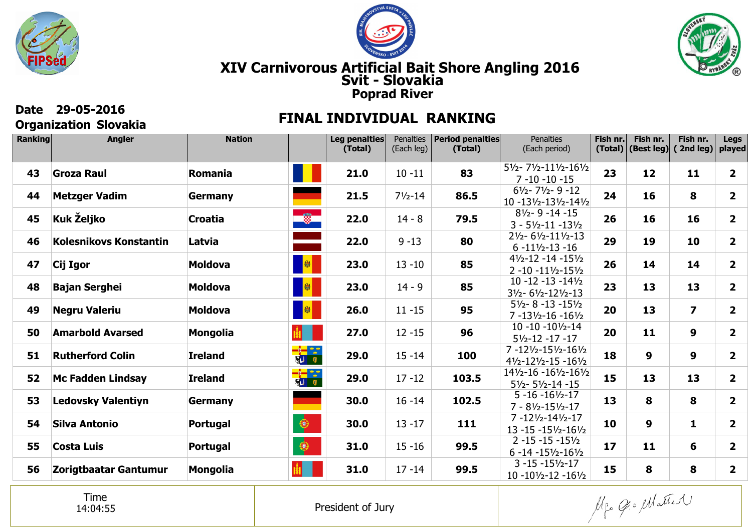





# **Organization Slovakia**

## **Date 29-05-2016 FINAL INDIVIDUAL RANKING**

| <b>Ranking</b> | <b>Angler</b>                 | <b>Nation</b>   |                          | Leg penalties<br>(Total) | Penalties<br>(Each leg) | <b>Period penalties</b><br>(Total) | <b>Penalties</b><br>(Each period)                                                    | Fish nr.<br>(Total) | Fish nr.<br>(Best leg) | Fish nr.<br>(2nd leg)   | <b>Legs</b><br>played   |
|----------------|-------------------------------|-----------------|--------------------------|--------------------------|-------------------------|------------------------------------|--------------------------------------------------------------------------------------|---------------------|------------------------|-------------------------|-------------------------|
| 43             | <b>Groza Raul</b>             | Romania         |                          | 21.0                     | $10 - 11$               | 83                                 | $5\frac{1}{2} - 7\frac{1}{2} - 11\frac{1}{2} - 16\frac{1}{2}$<br>$7 - 10 - 10 - 15$  | 23                  | 12                     | 11                      | $\overline{\mathbf{2}}$ |
| 44             | <b>Metzger Vadim</b>          | <b>Germany</b>  |                          | 21.5                     | $7\frac{1}{2} - 14$     | 86.5                               | $6\frac{1}{2} - 7\frac{1}{2} - 9 - 12$<br>10 -131/2-131/2-141/2                      | 24                  | 16                     | 8                       | $\overline{2}$          |
| 45             | Kuk Željko                    | <b>Croatia</b>  | $\frac{1}{2}$            | 22.0                     | $14 - 8$                | 79.5                               | $8\frac{1}{2} - 9 - 14 - 15$<br>$3 - 5\frac{1}{2} - 11 - 13\frac{1}{2}$              | 26                  | 16                     | 16                      | $\mathbf{2}$            |
| 46             | <b>Kolesnikovs Konstantin</b> | Latvia          |                          | 22.0                     | $9 - 13$                | 80                                 | 21/2-61/2-111/2-13<br>$6 - 11\frac{1}{2} - 13 - 16$                                  | 29                  | 19                     | 10                      | $\mathbf{2}$            |
| 47             | Cij Igor                      | <b>Moldova</b>  | 劇                        | 23.0                     | $13 - 10$               | 85                                 | $4\frac{1}{2} - 12 - 14 - 15\frac{1}{2}$<br>$2 - 10 - 11\frac{1}{2} - 15\frac{1}{2}$ | 26                  | 14                     | 14                      | $\overline{2}$          |
| 48             | <b>Bajan Serghei</b>          | <b>Moldova</b>  | 图                        | 23.0                     | $14 - 9$                | 85                                 | $10 - 12 - 13 - 14\frac{1}{2}$<br>$3\frac{1}{2} - 6\frac{1}{2} - 12\frac{1}{2} - 13$ | 23                  | 13                     | 13                      | $\overline{\mathbf{2}}$ |
| 49             | <b>Negru Valeriu</b>          | <b>Moldova</b>  | 图                        | 26.0                     | $11 - 15$               | 95                                 | $5\frac{1}{2} - 8 - 13 - 15\frac{1}{2}$<br>$7 - 13\frac{1}{2} - 16 - 16\frac{1}{2}$  | 20                  | 13                     | $\overline{\mathbf{z}}$ | $\overline{\mathbf{2}}$ |
| 50             | <b>Amarbold Avarsed</b>       | <b>Mongolia</b> |                          | 27.0                     | $12 - 15$               | 96                                 | $10 - 10 - 10\frac{1}{2} - 14$<br>$5\frac{1}{2} - 12 - 17 - 17$                      | 20                  | 11                     | 9                       | $\overline{2}$          |
| 51             | <b>Rutherford Colin</b>       | <b>Ireland</b>  |                          | 29.0                     | $15 - 14$               | 100                                | 7-121/2-151/2-161/2<br>$4\frac{1}{2} - 12\frac{1}{2} - 15 - 16\frac{1}{2}$           | 18                  | 9                      | 9                       | $\overline{2}$          |
| 52             | <b>Mc Fadden Lindsay</b>      | <b>Ireland</b>  | <mark>- 한</mark><br>정나 이 | 29.0                     | $17 - 12$               | 103.5                              | 141/2-16 -161/2-161/2<br>$5\frac{1}{2} - 5\frac{1}{2} - 14 - 15$                     | 15                  | 13                     | 13                      | $\overline{\mathbf{2}}$ |
| 53             | <b>Ledovsky Valentiyn</b>     | Germany         |                          | 30.0                     | $16 - 14$               | 102.5                              | $5 - 16 - 16\frac{1}{2} - 17$<br>$7 - 81/2 - 151/2 - 17$                             | 13                  | 8                      | 8                       | $\mathbf{2}$            |
| 54             | Silva Antonio                 | Portugal        | $\bigcirc$               | 30.0                     | $13 - 17$               | 111                                | 7-121/2-141/2-17<br>$13 - 15 - 15\frac{1}{2} - 16\frac{1}{2}$                        | 10                  | 9                      | $\mathbf{1}$            | $\overline{\mathbf{2}}$ |
| 55             | Costa Luis                    | Portugal        | $\bigcirc$               | 31.0                     | $15 - 16$               | 99.5                               | $2 - 15 - 15 - 15\frac{1}{2}$<br>$6 - 14 - 15\frac{1}{2} - 16\frac{1}{2}$            | 17                  | 11                     | 6                       | $\overline{\mathbf{2}}$ |
| 56             | Zorigtbaatar Gantumur         | <b>Mongolia</b> |                          | 31.0                     | $17 - 14$               | 99.5                               | $3 - 15 - 15\frac{1}{2} - 17$<br>$10 - 10\frac{1}{2} - 12 - 16\frac{1}{2}$           | 15                  | 8                      | 8                       | $\mathbf{2}$            |

Time14:04:55

Mgo Gio Matter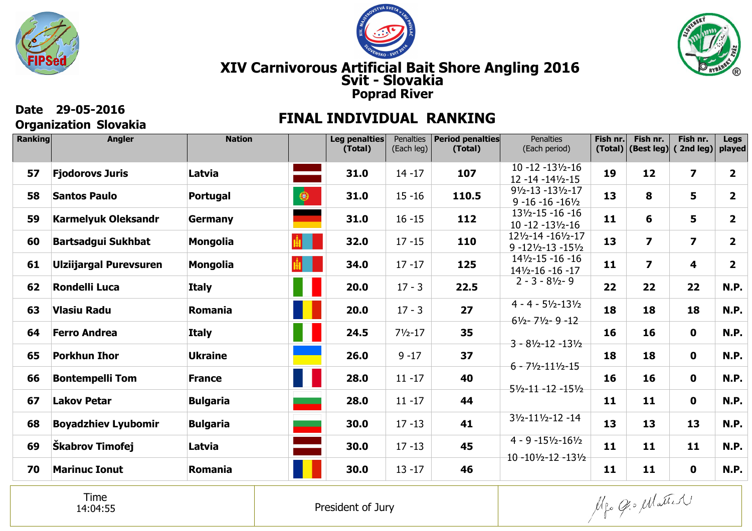





## **Organization Slovakia**

## **Date 29-05-2016 FINAL INDIVIDUAL RANKING**

| <b>Ranking</b> | <b>Angler</b>                 | <b>Nation</b>         | Leg penalties<br>(Total) | Penalties<br>(Each leg) | <b>Period penalties</b><br>(Total) | <b>Penalties</b><br>(Each period)                                                          | Fish nr. | Fish nr.<br>$(Total)$ (Best leg) | Fish nr.<br>(2nd leg)   | <b>Legs</b><br>played   |
|----------------|-------------------------------|-----------------------|--------------------------|-------------------------|------------------------------------|--------------------------------------------------------------------------------------------|----------|----------------------------------|-------------------------|-------------------------|
| 57             | <b>Fjodorovs Juris</b>        | Latvia                | 31.0                     | $14 - 17$               | 107                                | $10 - 12 - 13\frac{1}{2} - 16$<br>12 - 14 - 14 1/2 - 15                                    | 19       | 12                               | $\overline{\mathbf{z}}$ | $\mathbf{2}$            |
| 58             | <b>Santos Paulo</b>           | $\bullet$<br>Portugal | 31.0                     | $15 - 16$               | 110.5                              | $9\frac{1}{2} - 13 - 13\frac{1}{2} - 17$<br>$9 - 16 - 16 - 16\frac{1}{2}$                  | 13       | 8                                | 5                       | $\overline{\mathbf{2}}$ |
| 59             | <b>Karmelyuk Oleksandr</b>    | Germany               | 31.0                     | $16 - 15$               | 112                                | $13\frac{1}{2} - 15 - 16 - 16$<br>$10 - 12 - 13\frac{1}{2} - 16$                           | 11       | 6                                | 5                       | $\mathbf{2}$            |
| 60             | <b>Bartsadgui Sukhbat</b>     | <b>Mongolia</b>       | 32.0                     | $17 - 15$               | 110                                | 121/2-14 -161/2-17<br>$9 - 12\frac{1}{2} - 13 - 15\frac{1}{2}$                             | 13       | $\overline{\mathbf{z}}$          | $\overline{\mathbf{z}}$ | $\overline{2}$          |
| 61             | <b>Ulziijargal Purevsuren</b> | <b>Mongolia</b>       | 34.0                     | $17 - 17$               | 125                                | $14\frac{1}{2} - 15 - 16 - 16$<br>141/2-16 -16 -17                                         | 11       | $\overline{\mathbf{z}}$          | 4                       | $\overline{\mathbf{2}}$ |
| 62             | <b>Rondelli Luca</b>          | <b>Italy</b>          | 20.0                     | $17 - 3$                | 22.5                               | $2 - 3 - 81/2 - 9$                                                                         | 22       | 22                               | 22                      | <b>N.P.</b>             |
| 63             | Vlasiu Radu                   | Romania               | 20.0                     | $17 - 3$                | 27                                 | $4 - 4 - 5\frac{1}{2} - 13\frac{1}{2}$<br>$6\frac{1}{2} - \frac{7\frac{1}{2}}{2} - 9 - 12$ | 18       | 18                               | 18                      | <b>N.P.</b>             |
| 64             | <b>Ferro Andrea</b>           | <b>Italy</b>          | 24.5                     | $7\frac{1}{2} - 17$     | 35                                 | $3 - 8\frac{1}{2} - 12 - 13\frac{1}{2}$                                                    | 16       | 16                               | $\mathbf 0$             | <b>N.P.</b>             |
| 65             | <b>Porkhun Ihor</b>           | <b>Ukraine</b>        | 26.0                     | $9 - 17$                | 37                                 | $6 - 71/2 - 111/2 - 15$                                                                    | 18       | 18                               | $\mathbf 0$             | <b>N.P.</b>             |
| 66             | <b>Bontempelli Tom</b>        | 11<br><b>France</b>   | 28.0                     | $11 - 17$               | 40                                 | $5\frac{1}{2} - 11 - 12 - 15\frac{1}{2}$                                                   | 16       | 16                               | $\mathbf 0$             | <b>N.P.</b>             |
| 67             | <b>Lakov Petar</b>            | <b>Bulgaria</b>       | 28.0                     | $11 - 17$               | 44                                 |                                                                                            | 11       | 11                               | $\mathbf 0$             | <b>N.P.</b>             |
| 68             | <b>Boyadzhiev Lyubomir</b>    | <b>Bulgaria</b>       | 30.0                     | $17 - 13$               | 41                                 | $3\frac{1}{2} - 11\frac{1}{2} - 12 - 14$                                                   | 13       | 13                               | 13                      | <b>N.P.</b>             |
| 69             | Škabrov Timofej               | Latvia                | 30.0                     | $17 - 13$               | 45                                 | $4 - 9 - 15\frac{1}{2} - 16\frac{1}{2}$<br>$10 - 10\frac{1}{2} - 12 - 13\frac{1}{2}$       | 11       | 11                               | 11                      | <b>N.P.</b>             |
| 70             | <b>Marinuc Ionut</b>          | Romania               | 30.0                     | $13 - 17$               | 46                                 |                                                                                            | 11       | 11                               | $\mathbf 0$             | <b>N.P.</b>             |

Time14:04:55

Mgo Gio Matter